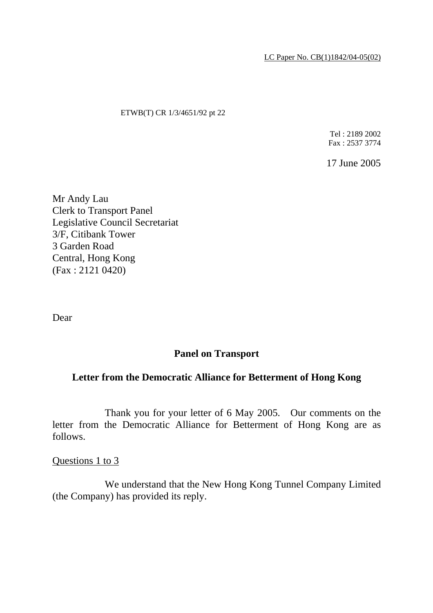LC Paper No. CB(1)1842/04-05(02)

#### ETWB(T) CR 1/3/4651/92 pt 22

Tel : 2189 2002 Fax : 2537 3774

17 June 2005

Mr Andy Lau Clerk to Transport Panel Legislative Council Secretariat 3/F, Citibank Tower 3 Garden Road Central, Hong Kong (Fax : 2121 0420)

Dear

# **Panel on Transport**

## **Letter from the Democratic Alliance for Betterment of Hong Kong**

 Thank you for your letter of 6 May 2005. Our comments on the letter from the Democratic Alliance for Betterment of Hong Kong are as follows.

Questions 1 to 3

 We understand that the New Hong Kong Tunnel Company Limited (the Company) has provided its reply.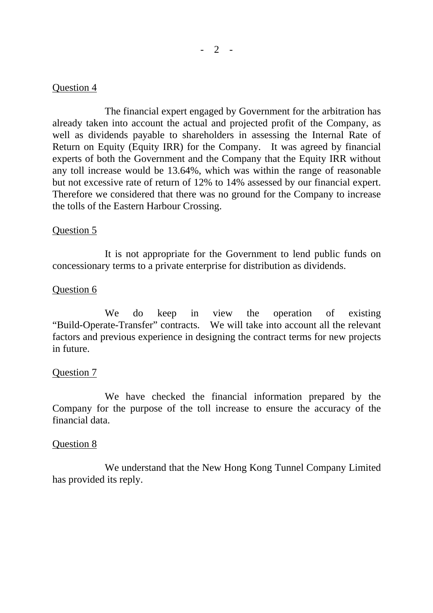## Question 4

 The financial expert engaged by Government for the arbitration has already taken into account the actual and projected profit of the Company, as well as dividends payable to shareholders in assessing the Internal Rate of Return on Equity (Equity IRR) for the Company. It was agreed by financial experts of both the Government and the Company that the Equity IRR without any toll increase would be 13.64%, which was within the range of reasonable but not excessive rate of return of 12% to 14% assessed by our financial expert. Therefore we considered that there was no ground for the Company to increase the tolls of the Eastern Harbour Crossing.

## Question 5

 It is not appropriate for the Government to lend public funds on concessionary terms to a private enterprise for distribution as dividends.

## Question 6

We do keep in view the operation of existing "Build-Operate-Transfer" contracts. We will take into account all the relevant factors and previous experience in designing the contract terms for new projects in future.

## Question 7

 We have checked the financial information prepared by the Company for the purpose of the toll increase to ensure the accuracy of the financial data.

## Question 8

 We understand that the New Hong Kong Tunnel Company Limited has provided its reply.